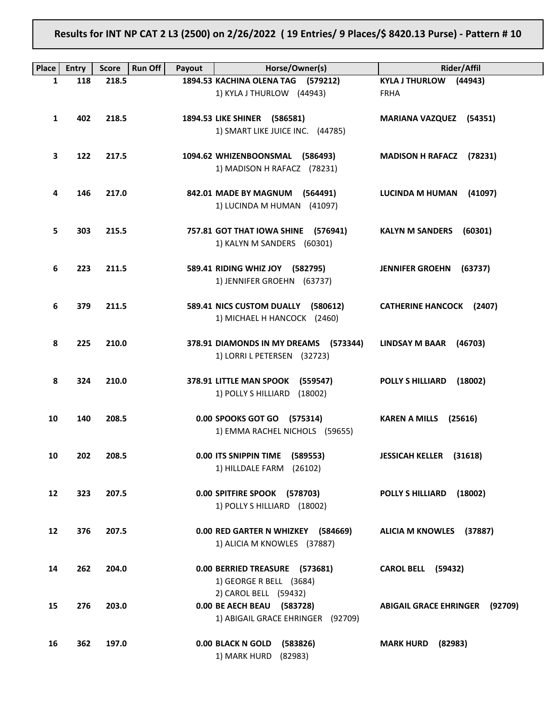# Results for INT NP CAT 2 L3 (2500) on 2/26/2022 ( 19 Entries/ 9 Places/\$ 8420.13 Purse) - Pattern # 10

| <b>Place</b> | Entry | <b>Score</b> | <b>Run Off</b><br>Payout | Horse/Owner(s)                        | <b>Rider/Affil</b>                       |
|--------------|-------|--------------|--------------------------|---------------------------------------|------------------------------------------|
| $\mathbf{1}$ | 118   | 218.5        |                          | 1894.53 KACHINA OLENA TAG (579212)    | <b>KYLA J THURLOW</b><br>(44943)         |
|              |       |              |                          | 1) KYLA J THURLOW (44943)             | <b>FRHA</b>                              |
|              |       |              |                          |                                       |                                          |
| 1            | 402   | 218.5        |                          | 1894.53 LIKE SHINER (586581)          | MARIANA VAZQUEZ (54351)                  |
|              |       |              |                          | 1) SMART LIKE JUICE INC. (44785)      |                                          |
|              |       |              |                          |                                       |                                          |
| 3            | 122   | 217.5        |                          | 1094.62 WHIZENBOONSMAL<br>(586493)    | <b>MADISON H RAFACZ</b><br>(78231)       |
|              |       |              |                          | 1) MADISON H RAFACZ (78231)           |                                          |
|              |       |              |                          |                                       |                                          |
| 4            | 146   | 217.0        |                          | 842.01 MADE BY MAGNUM<br>(564491)     | <b>LUCINDA M HUMAN</b><br>(41097)        |
|              |       |              |                          | 1) LUCINDA M HUMAN (41097)            |                                          |
|              |       |              |                          |                                       |                                          |
| 5            | 303   | 215.5        |                          | 757.81 GOT THAT IOWA SHINE (576941)   | <b>KALYN M SANDERS</b><br>(60301)        |
|              |       |              |                          | 1) KALYN M SANDERS (60301)            |                                          |
|              |       |              |                          |                                       |                                          |
| 6            | 223   | 211.5        |                          | 589.41 RIDING WHIZ JOY (582795)       | <b>JENNIFER GROEHN</b><br>(63737)        |
|              |       |              |                          | 1) JENNIFER GROEHN (63737)            |                                          |
|              |       |              |                          |                                       |                                          |
| 6            | 379   | 211.5        |                          | 589.41 NICS CUSTOM DUALLY<br>(580612) | <b>CATHERINE HANCOCK</b><br>(2407)       |
|              |       |              |                          | 1) MICHAEL H HANCOCK (2460)           |                                          |
|              |       |              |                          |                                       |                                          |
|              | 225   | 210.0        |                          |                                       |                                          |
| 8            |       |              |                          | 378.91 DIAMONDS IN MY DREAMS (573344) | <b>LINDSAY M BAAR</b><br>(46703)         |
|              |       |              |                          | 1) LORRI L PETERSEN (32723)           |                                          |
|              |       |              |                          |                                       |                                          |
| 8            | 324   | 210.0        |                          | 378.91 LITTLE MAN SPOOK<br>(559547)   | <b>POLLY S HILLIARD</b><br>(18002)       |
|              |       |              |                          | 1) POLLY S HILLIARD<br>(18002)        |                                          |
|              |       |              |                          |                                       |                                          |
| 10           | 140   | 208.5        |                          | 0.00 SPOOKS GOT GO (575314)           | <b>KAREN A MILLS</b><br>(25616)          |
|              |       |              |                          | 1) EMMA RACHEL NICHOLS (59655)        |                                          |
|              |       |              |                          |                                       |                                          |
| 10           | 202   | 208.5        |                          | 0.00 ITS SNIPPIN TIME<br>(589553)     | <b>JESSICAH KELLER</b><br>(31618)        |
|              |       |              |                          | 1) HILLDALE FARM (26102)              |                                          |
|              |       |              |                          |                                       |                                          |
| 12           | 323   | 207.5        |                          | 0.00 SPITFIRE SPOOK (578703)          | <b>POLLY S HILLIARD</b><br>(18002)       |
|              |       |              |                          | 1) POLLY S HILLIARD (18002)           |                                          |
|              |       |              |                          |                                       |                                          |
| 12           | 376   | 207.5        |                          | 0.00 RED GARTER N WHIZKEY (584669)    | ALICIA M KNOWLES (37887)                 |
|              |       |              |                          | 1) ALICIA M KNOWLES (37887)           |                                          |
|              |       |              |                          |                                       |                                          |
| 14           | 262   | 204.0        |                          | 0.00 BERRIED TREASURE (573681)        | <b>CAROL BELL</b><br>(59432)             |
|              |       |              |                          | 1) GEORGE R BELL (3684)               |                                          |
|              |       |              |                          | 2) CAROL BELL (59432)                 |                                          |
| 15           | 276   | 203.0        |                          | 0.00 BE AECH BEAU (583728)            | <b>ABIGAIL GRACE EHRINGER</b><br>(92709) |
|              |       |              |                          | 1) ABIGAIL GRACE EHRINGER (92709)     |                                          |
|              |       |              |                          |                                       |                                          |
| 16           | 362   | 197.0        |                          | 0.00 BLACK N GOLD<br>(583826)         | <b>MARK HURD</b><br>(82983)              |
|              |       |              |                          | 1) MARK HURD                          |                                          |
|              |       |              |                          | (82983)                               |                                          |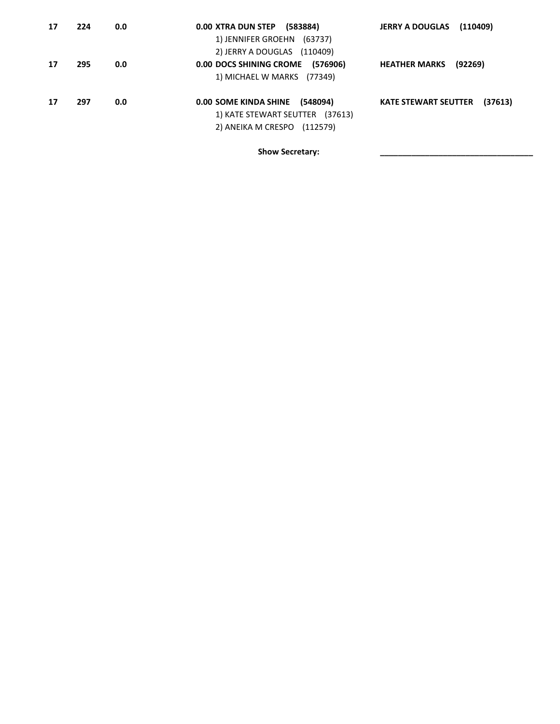| 17 | 224 | 0.0 | (583884)<br>0.00 XTRA DUN STEP<br>1) JENNIFER GROEHN (63737)<br>2) JERRY A DOUGLAS<br>(110409)                | <b>JERRY A DOUGLAS</b><br>(110409)     |
|----|-----|-----|---------------------------------------------------------------------------------------------------------------|----------------------------------------|
| 17 | 295 | 0.0 | 0.00 DOCS SHINING CROME<br>(576906)<br>1) MICHAEL W MARKS<br>(77349)                                          | <b>HEATHER MARKS</b><br>(92269)        |
| 17 | 297 | 0.0 | (548094)<br><b>0.00 SOME KINDA SHINE</b><br>1) KATE STEWART SEUTTER (37613)<br>2) ANEIKA M CRESPO<br>(112579) | (37613)<br><b>KATE STEWART SEUTTER</b> |

Show Secretary: